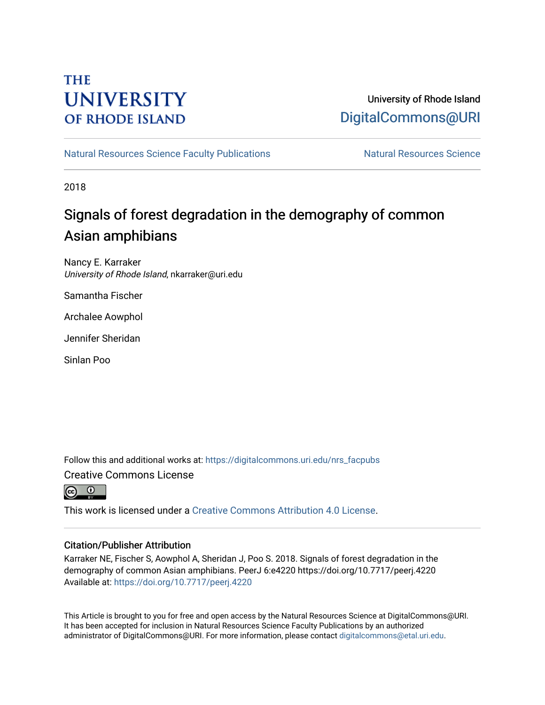## **THE UNIVERSITY OF RHODE ISLAND**

## University of Rhode Island [DigitalCommons@URI](https://digitalcommons.uri.edu/)

[Natural Resources Science Faculty Publications](https://digitalcommons.uri.edu/nrs_facpubs) Natural Resources Science

2018

## Signals of forest degradation in the demography of common Asian amphibians

Nancy E. Karraker University of Rhode Island, nkarraker@uri.edu

Samantha Fischer

Archalee Aowphol

Jennifer Sheridan

Sinlan Poo

Follow this and additional works at: [https://digitalcommons.uri.edu/nrs\\_facpubs](https://digitalcommons.uri.edu/nrs_facpubs?utm_source=digitalcommons.uri.edu%2Fnrs_facpubs%2F117&utm_medium=PDF&utm_campaign=PDFCoverPages)  Creative Commons License



This work is licensed under a [Creative Commons Attribution 4.0 License](https://creativecommons.org/licenses/by/4.0/).

#### Citation/Publisher Attribution

Karraker NE, Fischer S, Aowphol A, Sheridan J, Poo S. 2018. Signals of forest degradation in the demography of common Asian amphibians. PeerJ 6:e4220 https://doi.org/10.7717/peerj.4220 Available at:<https://doi.org/10.7717/peerj.4220>

This Article is brought to you for free and open access by the Natural Resources Science at DigitalCommons@URI. It has been accepted for inclusion in Natural Resources Science Faculty Publications by an authorized administrator of DigitalCommons@URI. For more information, please contact [digitalcommons@etal.uri.edu.](mailto:digitalcommons@etal.uri.edu)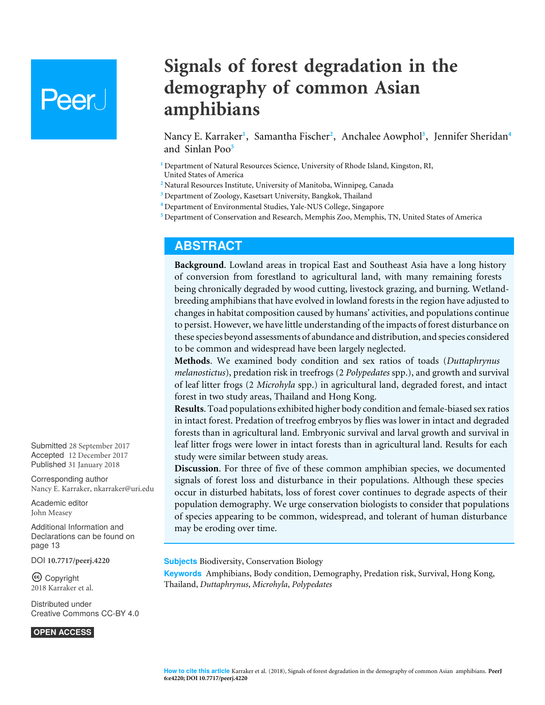# Peer.

## **Signals of forest degradation in the demography of common Asian amphibians**

<span id="page-1-9"></span><span id="page-1-8"></span><span id="page-1-7"></span><span id="page-1-6"></span><span id="page-1-5"></span>Nancy E. Karraker**[1](#page-1-0)** , Samantha Fischer**[2](#page-1-1)** , Anchalee Aowphol**[3](#page-1-2)** , Jennifer Sheridan**[4](#page-1-3)** and Sinlan Poo**[5](#page-1-4)**

<span id="page-1-0"></span>**<sup>1</sup>** Department of Natural Resources Science, University of Rhode Island, Kingston, RI, United States of America

<span id="page-1-1"></span>**<sup>2</sup>** Natural Resources Institute, University of Manitoba, Winnipeg, Canada

<span id="page-1-2"></span>**<sup>3</sup>** Department of Zoology, Kasetsart University, Bangkok, Thailand

- <span id="page-1-3"></span>**<sup>4</sup>** Department of Environmental Studies, Yale-NUS College, Singapore
- <span id="page-1-4"></span>**<sup>5</sup>** Department of Conservation and Research, Memphis Zoo, Memphis, TN, United States of America

## **ABSTRACT**

**Background**. Lowland areas in tropical East and Southeast Asia have a long history of conversion from forestland to agricultural land, with many remaining forests being chronically degraded by wood cutting, livestock grazing, and burning. Wetlandbreeding amphibians that have evolved in lowland forests in the region have adjusted to changes in habitat composition caused by humans' activities, and populations continue to persist. However, we have little understanding of the impacts of forest disturbance on these species beyond assessments of abundance and distribution, and species considered to be common and widespread have been largely neglected.

**Methods**. We examined body condition and sex ratios of toads (*Duttaphrynus melanostictus*), predation risk in treefrogs (2 *Polypedates* spp.), and growth and survival of leaf litter frogs (2 *Microhyla* spp.) in agricultural land, degraded forest, and intact forest in two study areas, Thailand and Hong Kong.

**Results**. Toad populations exhibited higher body condition and female-biased sex ratios in intact forest. Predation of treefrog embryos by flies was lower in intact and degraded forests than in agricultural land. Embryonic survival and larval growth and survival in leaf litter frogs were lower in intact forests than in agricultural land. Results for each study were similar between study areas.

**Discussion**. For three of five of these common amphibian species, we documented signals of forest loss and disturbance in their populations. Although these species occur in disturbed habitats, loss of forest cover continues to degrade aspects of their population demography. We urge conservation biologists to consider that populations of species appearing to be common, widespread, and tolerant of human disturbance may be eroding over time.

#### **Subjects** Biodiversity, Conservation Biology

**Keywords** Amphibians, Body condition, Demography, Predation risk, Survival, Hong Kong, Thailand, *Duttaphrynus*, *Microhyla*, *Polypedates*

Submitted 28 September 2017 Accepted 12 December 2017 Published 31 January 2018

Corresponding author Nancy E. Karraker, [nkarraker@uri.edu](mailto:nkarraker@uri.edu)

[Academic editor](https://peerj.com/academic-boards/editors/) [John Measey](https://peerj.com/academic-boards/editors/)

[Additional Information and](#page-13-0) [Declarations can be found on](#page-13-0) [page 13](#page-13-0)

DOI **[10.7717/peerj.4220](http://dx.doi.org/10.7717/peerj.4220)**

Ccopyright 2018 Karraker et al.

[Distributed under](http://creativecommons.org/licenses/by/4.0/) [Creative Commons CC-BY 4.0](http://creativecommons.org/licenses/by/4.0/)

**OPEN ACCESS**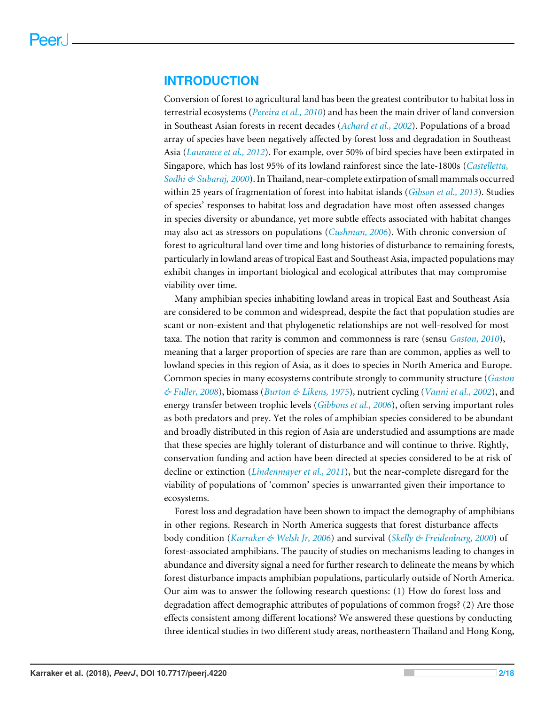### **INTRODUCTION**

Conversion of forest to agricultural land has been the greatest contributor to habitat loss in terrestrial ecosystems (*[Pereira et al., 2010](#page-17-0)*) and has been the main driver of land conversion in Southeast Asian forests in recent decades (*[Achard et al., 2002](#page-14-0)*). Populations of a broad array of species have been negatively affected by forest loss and degradation in Southeast Asia (*[Laurance et al., 2012](#page-16-0)*). For example, over 50% of bird species have been extirpated in Singapore, which has lost 95% of its lowland rainforest since the late-1800s (*[Castelletta,](#page-14-1) [Sodhi & Subaraj, 2000](#page-14-1)*). In Thailand, near-complete extirpation of small mammals occurred within 25 years of fragmentation of forest into habitat islands (*[Gibson et al., 2013](#page-15-0)*). Studies of species' responses to habitat loss and degradation have most often assessed changes in species diversity or abundance, yet more subtle effects associated with habitat changes may also act as stressors on populations (*[Cushman, 2006](#page-14-2)*). With chronic conversion of forest to agricultural land over time and long histories of disturbance to remaining forests, particularly in lowland areas of tropical East and Southeast Asia, impacted populations may exhibit changes in important biological and ecological attributes that may compromise viability over time.

Many amphibian species inhabiting lowland areas in tropical East and Southeast Asia are considered to be common and widespread, despite the fact that population studies are scant or non-existent and that phylogenetic relationships are not well-resolved for most taxa. The notion that rarity is common and commonness is rare (sensu *[Gaston, 2010](#page-15-1)*), meaning that a larger proportion of species are rare than are common, applies as well to lowland species in this region of Asia, as it does to species in North America and Europe. Common species in many ecosystems contribute strongly to community structure (*[Gaston](#page-15-2) [& Fuller, 2008](#page-15-2)*), biomass (*[Burton & Likens, 1975](#page-14-3)*), nutrient cycling (*[Vanni et al., 2002](#page-18-0)*), and energy transfer between trophic levels (*[Gibbons et al., 2006](#page-15-3)*), often serving important roles as both predators and prey. Yet the roles of amphibian species considered to be abundant and broadly distributed in this region of Asia are understudied and assumptions are made that these species are highly tolerant of disturbance and will continue to thrive. Rightly, conservation funding and action have been directed at species considered to be at risk of decline or extinction (*[Lindenmayer et al., 2011](#page-17-1)*), but the near-complete disregard for the viability of populations of 'common' species is unwarranted given their importance to ecosystems.

Forest loss and degradation have been shown to impact the demography of amphibians in other regions. Research in North America suggests that forest disturbance affects body condition (*[Karraker & Welsh Jr, 2006](#page-16-1)*) and survival (*[Skelly & Freidenburg, 2000](#page-18-1)*) of forest-associated amphibians. The paucity of studies on mechanisms leading to changes in abundance and diversity signal a need for further research to delineate the means by which forest disturbance impacts amphibian populations, particularly outside of North America. Our aim was to answer the following research questions: (1) How do forest loss and degradation affect demographic attributes of populations of common frogs? (2) Are those effects consistent among different locations? We answered these questions by conducting three identical studies in two different study areas, northeastern Thailand and Hong Kong,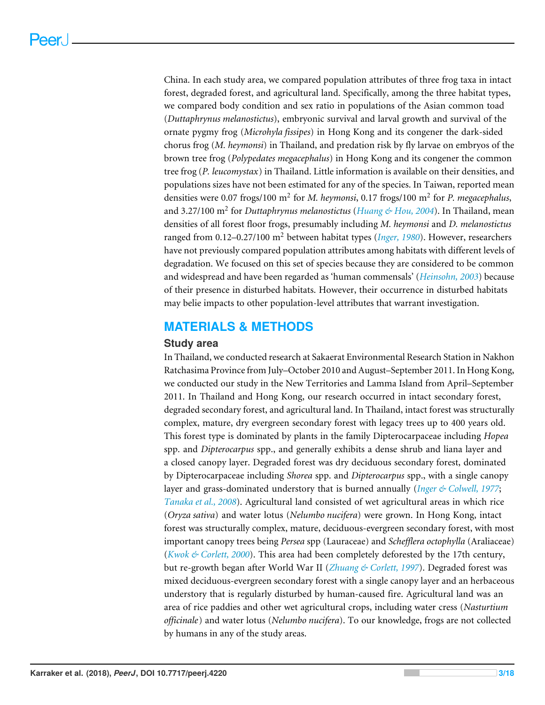China. In each study area, we compared population attributes of three frog taxa in intact forest, degraded forest, and agricultural land. Specifically, among the three habitat types, we compared body condition and sex ratio in populations of the Asian common toad (*Duttaphrynus melanostictus*), embryonic survival and larval growth and survival of the ornate pygmy frog (*Microhyla fissipes*) in Hong Kong and its congener the dark-sided chorus frog (*M. heymonsi*) in Thailand, and predation risk by fly larvae on embryos of the brown tree frog (*Polypedates megacephalus*) in Hong Kong and its congener the common tree frog (*P. leucomystax*) in Thailand. Little information is available on their densities, and populations sizes have not been estimated for any of the species. In Taiwan, reported mean densities were 0.07 frogs/100 m<sup>2</sup> for *M. heymonsi*, 0.17 frogs/100 m<sup>2</sup> for *P. megacephalus*, and 3.27/100 m<sup>2</sup> for *Duttaphrynus melanostictus* (*[Huang & Hou, 2004](#page-15-4)*). In Thailand, mean densities of all forest floor frogs, presumably including *M. heymonsi* and *D. melanostictus* ranged from 0.12–0.27/100 m<sup>2</sup> between habitat types (*[Inger, 1980](#page-16-2)*). However, researchers have not previously compared population attributes among habitats with different levels of degradation. We focused on this set of species because they are considered to be common and widespread and have been regarded as 'human commensals' (*[Heinsohn, 2003](#page-15-5)*) because of their presence in disturbed habitats. However, their occurrence in disturbed habitats may belie impacts to other population-level attributes that warrant investigation.

## **MATERIALS & METHODS**

#### **Study area**

In Thailand, we conducted research at Sakaerat Environmental Research Station in Nakhon Ratchasima Province from July–October 2010 and August–September 2011. In Hong Kong, we conducted our study in the New Territories and Lamma Island from April–September 2011. In Thailand and Hong Kong, our research occurred in intact secondary forest, degraded secondary forest, and agricultural land. In Thailand, intact forest was structurally complex, mature, dry evergreen secondary forest with legacy trees up to 400 years old. This forest type is dominated by plants in the family Dipterocarpaceae including *Hopea* spp. and *Dipterocarpus* spp., and generally exhibits a dense shrub and liana layer and a closed canopy layer. Degraded forest was dry deciduous secondary forest, dominated by Dipterocarpaceae including *Shorea* spp. and *Dipterocarpus* spp., with a single canopy layer and grass-dominated understory that is burned annually (*[Inger & Colwell, 1977](#page-16-3)*; *[Tanaka et al., 2008](#page-18-2)*). Agricultural land consisted of wet agricultural areas in which rice (*Oryza sativa*) and water lotus (*Nelumbo nucifera*) were grown. In Hong Kong, intact forest was structurally complex, mature, deciduous-evergreen secondary forest, with most important canopy trees being *Persea* spp (Lauraceae) and *Schefflera octophylla* (Araliaceae) (*[Kwok & Corlett, 2000](#page-16-4)*). This area had been completely deforested by the 17th century, but re-growth began after World War II (*[Zhuang & Corlett, 1997](#page-18-3)*). Degraded forest was mixed deciduous-evergreen secondary forest with a single canopy layer and an herbaceous understory that is regularly disturbed by human-caused fire. Agricultural land was an area of rice paddies and other wet agricultural crops, including water cress (*Nasturtium officinale*) and water lotus (*Nelumbo nucifera*). To our knowledge, frogs are not collected by humans in any of the study areas.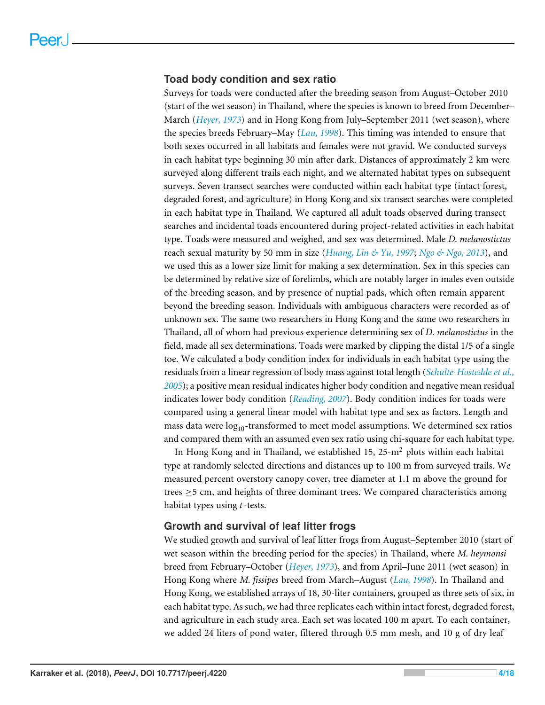#### **Toad body condition and sex ratio**

Surveys for toads were conducted after the breeding season from August–October 2010 (start of the wet season) in Thailand, where the species is known to breed from December– March (*[Heyer, 1973](#page-15-6)*) and in Hong Kong from July–September 2011 (wet season), where the species breeds February–May (*[Lau, 1998](#page-16-5)*). This timing was intended to ensure that both sexes occurred in all habitats and females were not gravid. We conducted surveys in each habitat type beginning 30 min after dark. Distances of approximately 2 km were surveyed along different trails each night, and we alternated habitat types on subsequent surveys. Seven transect searches were conducted within each habitat type (intact forest, degraded forest, and agriculture) in Hong Kong and six transect searches were completed in each habitat type in Thailand. We captured all adult toads observed during transect searches and incidental toads encountered during project-related activities in each habitat type. Toads were measured and weighed, and sex was determined. Male *D. melanostictus* reach sexual maturity by 50 mm in size (*[Huang, Lin & Yu, 1997](#page-15-7)*; *[Ngo & Ngo, 2013](#page-17-2)*), and we used this as a lower size limit for making a sex determination. Sex in this species can be determined by relative size of forelimbs, which are notably larger in males even outside of the breeding season, and by presence of nuptial pads, which often remain apparent beyond the breeding season. Individuals with ambiguous characters were recorded as of unknown sex. The same two researchers in Hong Kong and the same two researchers in Thailand, all of whom had previous experience determining sex of *D. melanostictus* in the field, made all sex determinations. Toads were marked by clipping the distal 1/5 of a single toe. We calculated a body condition index for individuals in each habitat type using the residuals from a linear regression of body mass against total length (*[Schulte-Hostedde et al.,](#page-18-4) [2005](#page-18-4)*); a positive mean residual indicates higher body condition and negative mean residual indicates lower body condition (*[Reading, 2007](#page-17-3)*). Body condition indices for toads were compared using a general linear model with habitat type and sex as factors. Length and mass data were  $log<sub>10</sub>$ -transformed to meet model assumptions. We determined sex ratios and compared them with an assumed even sex ratio using chi-square for each habitat type.

In Hong Kong and in Thailand, we established 15,  $25-m^2$  plots within each habitat type at randomly selected directions and distances up to 100 m from surveyed trails. We measured percent overstory canopy cover, tree diameter at 1.1 m above the ground for trees  $\geq$  5 cm, and heights of three dominant trees. We compared characteristics among habitat types using *t*-tests.

#### **Growth and survival of leaf litter frogs**

We studied growth and survival of leaf litter frogs from August–September 2010 (start of wet season within the breeding period for the species) in Thailand, where *M. heymonsi* breed from February–October (*[Heyer, 1973](#page-15-6)*), and from April–June 2011 (wet season) in Hong Kong where *M. fissipes* breed from March–August (*[Lau, 1998](#page-16-5)*). In Thailand and Hong Kong, we established arrays of 18, 30-liter containers, grouped as three sets of six, in each habitat type. As such, we had three replicates each within intact forest, degraded forest, and agriculture in each study area. Each set was located 100 m apart. To each container, we added 24 liters of pond water, filtered through 0.5 mm mesh, and 10 g of dry leaf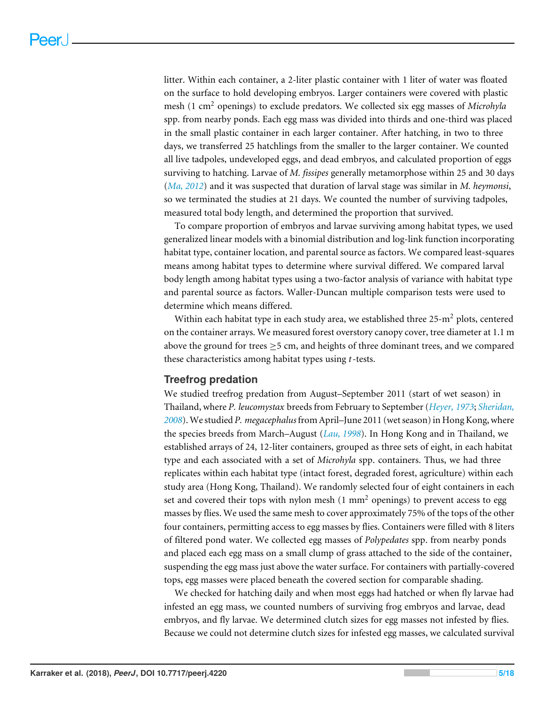litter. Within each container, a 2-liter plastic container with 1 liter of water was floated on the surface to hold developing embryos. Larger containers were covered with plastic mesh (1 cm<sup>2</sup> openings) to exclude predators. We collected six egg masses of *Microhyla* spp. from nearby ponds. Each egg mass was divided into thirds and one-third was placed in the small plastic container in each larger container. After hatching, in two to three days, we transferred 25 hatchlings from the smaller to the larger container. We counted all live tadpoles, undeveloped eggs, and dead embryos, and calculated proportion of eggs surviving to hatching. Larvae of *M. fissipes* generally metamorphose within 25 and 30 days (*[Ma, 2012](#page-17-4)*) and it was suspected that duration of larval stage was similar in *M. heymonsi*, so we terminated the studies at 21 days. We counted the number of surviving tadpoles, measured total body length, and determined the proportion that survived.

To compare proportion of embryos and larvae surviving among habitat types, we used generalized linear models with a binomial distribution and log-link function incorporating habitat type, container location, and parental source as factors. We compared least-squares means among habitat types to determine where survival differed. We compared larval body length among habitat types using a two-factor analysis of variance with habitat type and parental source as factors. Waller-Duncan multiple comparison tests were used to determine which means differed.

Within each habitat type in each study area, we established three  $25-m^2$  plots, centered on the container arrays. We measured forest overstory canopy cover, tree diameter at 1.1 m above the ground for trees  $\geq$  5 cm, and heights of three dominant trees, and we compared these characteristics among habitat types using *t*-tests.

#### **Treefrog predation**

We studied treefrog predation from August–September 2011 (start of wet season) in Thailand, where *P. leucomystax* breeds from February to September (*[Heyer, 1973](#page-15-6)*; *[Sheridan,](#page-18-5) [2008](#page-18-5)*). We studied *P. megacephalus*from April–June 2011 (wet season) in Hong Kong, where the species breeds from March–August (*[Lau, 1998](#page-16-5)*). In Hong Kong and in Thailand, we established arrays of 24, 12-liter containers, grouped as three sets of eight, in each habitat type and each associated with a set of *Microhyla* spp. containers. Thus, we had three replicates within each habitat type (intact forest, degraded forest, agriculture) within each study area (Hong Kong, Thailand). We randomly selected four of eight containers in each set and covered their tops with nylon mesh  $(1 \text{ mm}^2)$  openings) to prevent access to egg masses by flies. We used the same mesh to cover approximately 75% of the tops of the other four containers, permitting access to egg masses by flies. Containers were filled with 8 liters of filtered pond water. We collected egg masses of *Polypedates* spp. from nearby ponds and placed each egg mass on a small clump of grass attached to the side of the container, suspending the egg mass just above the water surface. For containers with partially-covered tops, egg masses were placed beneath the covered section for comparable shading.

We checked for hatching daily and when most eggs had hatched or when fly larvae had infested an egg mass, we counted numbers of surviving frog embryos and larvae, dead embryos, and fly larvae. We determined clutch sizes for egg masses not infested by flies. Because we could not determine clutch sizes for infested egg masses, we calculated survival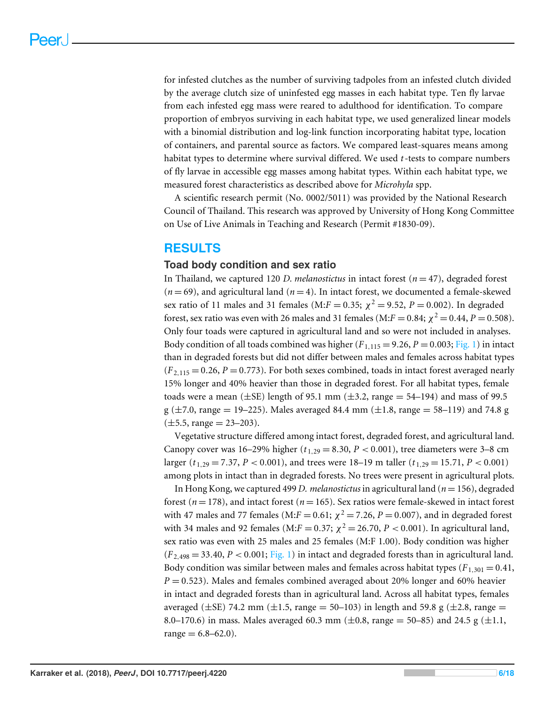for infested clutches as the number of surviving tadpoles from an infested clutch divided by the average clutch size of uninfested egg masses in each habitat type. Ten fly larvae from each infested egg mass were reared to adulthood for identification. To compare proportion of embryos surviving in each habitat type, we used generalized linear models with a binomial distribution and log-link function incorporating habitat type, location of containers, and parental source as factors. We compared least-squares means among habitat types to determine where survival differed. We used *t*-tests to compare numbers of fly larvae in accessible egg masses among habitat types. Within each habitat type, we measured forest characteristics as described above for *Microhyla* spp.

A scientific research permit (No. 0002/5011) was provided by the National Research Council of Thailand. This research was approved by University of Hong Kong Committee on Use of Live Animals in Teaching and Research (Permit #1830-09).

## **RESULTS**

#### **Toad body condition and sex ratio**

In Thailand, we captured 120 *D. melanostictus* in intact forest  $(n = 47)$ , degraded forest  $(n=69)$ , and agricultural land  $(n=4)$ . In intact forest, we documented a female-skewed sex ratio of 11 males and 31 females (M: $F = 0.35$ ;  $\chi^2 = 9.52$ ,  $P = 0.002$ ). In degraded forest, sex ratio was even with 26 males and 31 females (M: $F = 0.84$ ;  $\chi^2 = 0.44$ ,  $P = 0.508$ ). Only four toads were captured in agricultural land and so were not included in analyses. Body condition of all toads combined was higher  $(F_{1,115} = 9.26, P = 0.003; Fig. 1)$  $(F_{1,115} = 9.26, P = 0.003; Fig. 1)$  in intact than in degraded forests but did not differ between males and females across habitat types  $(F_{2,115} = 0.26, P = 0.773)$ . For both sexes combined, toads in intact forest averaged nearly 15% longer and 40% heavier than those in degraded forest. For all habitat types, female toads were a mean ( $\pm$ SE) length of 95.1 mm ( $\pm$ 3.2, range = 54–194) and mass of 99.5  $g$  ( $\pm$ 7.0, range = 19–225). Males averaged 84.4 mm ( $\pm$ 1.8, range = 58–119) and 74.8 g  $(\pm 5.5, \text{range} = 23 - 203).$ 

Vegetative structure differed among intact forest, degraded forest, and agricultural land. Canopy cover was 16–29% higher ( $t_{1,29} = 8.30, P < 0.001$ ), tree diameters were 3–8 cm larger ( $t_{1,29} = 7.37$ ,  $P < 0.001$ ), and trees were 18–19 m taller ( $t_{1,29} = 15.71$ ,  $P < 0.001$ ) among plots in intact than in degraded forests. No trees were present in agricultural plots.

In Hong Kong, we captured 499 *D. melanostictus* in agricultural land (*n* = 156), degraded forest (*n* = 178), and intact forest (*n* = 165). Sex ratios were female-skewed in intact forest with 47 males and 77 females (M: $F = 0.61$ ;  $\chi^2 = 7.26$ ,  $P = 0.007$ ), and in degraded forest with 34 males and 92 females (M: $F = 0.37$ ;  $\chi^2 = 26.70$ ,  $P < 0.001$ ). In agricultural land, sex ratio was even with 25 males and 25 females (M:F 1.00). Body condition was higher  $(F_{2,498} = 33.40, P < 0.001$ ; [Fig. 1\)](#page-7-0) in intact and degraded forests than in agricultural land. Body condition was similar between males and females across habitat types  $(F_{1,301} = 0.41,$  $P = 0.523$ ). Males and females combined averaged about 20% longer and 60% heavier in intact and degraded forests than in agricultural land. Across all habitat types, females averaged ( $\pm$ SE) 74.2 mm ( $\pm$ 1.5, range = 50–103) in length and 59.8 g ( $\pm$ 2.8, range = 8.0–170.6) in mass. Males averaged 60.3 mm ( $\pm$ 0.8, range = 50–85) and 24.5 g ( $\pm$ 1.1,  $range = 6.8 - 62.0$ .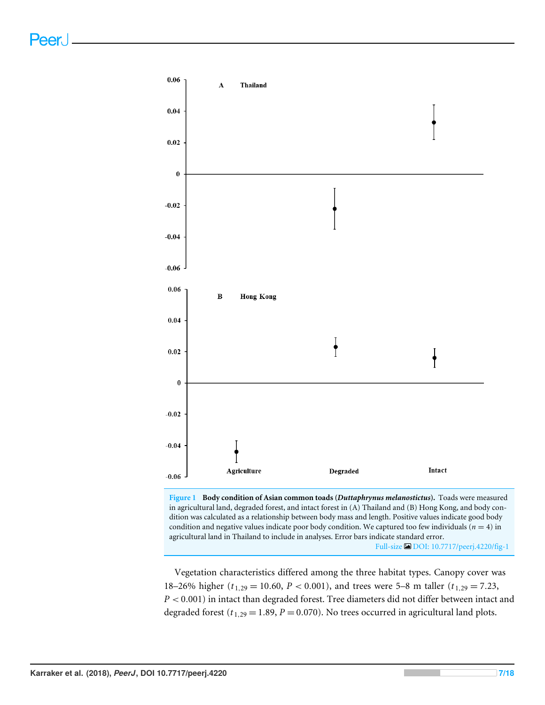<span id="page-7-0"></span>



Vegetation characteristics differed among the three habitat types. Canopy cover was 18–26% higher ( $t_{1,29}$  = 10.60, *P* < 0.001), and trees were 5–8 m taller ( $t_{1,29}$  = 7.23, *P* < 0.001) in intact than degraded forest. Tree diameters did not differ between intact and degraded forest ( $t_{1,29}$  = 1.89, *P* = 0.070). No trees occurred in agricultural land plots.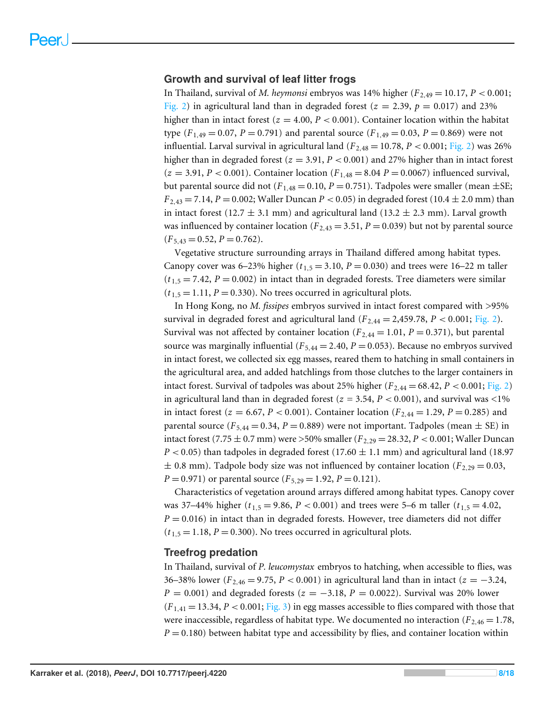#### **Growth and survival of leaf litter frogs**

In Thailand, survival of *M. heymonsi* embryos was 14% higher  $(F_{2,49} = 10.17, P < 0.001;$ [Fig. 2\)](#page-9-0) in agricultural land than in degraded forest ( $z = 2.39$ ,  $p = 0.017$ ) and 23% higher than in intact forest ( $z = 4.00$ ,  $P < 0.001$ ). Container location within the habitat type  $(F_{1,49} = 0.07, P = 0.791)$  and parental source  $(F_{1,49} = 0.03, P = 0.869)$  were not influential. Larval survival in agricultural land ( $F_{2,48} = 10.78$ ,  $P < 0.001$ ; [Fig. 2\)](#page-9-0) was 26% higher than in degraded forest  $(z = 3.91, P < 0.001)$  and 27% higher than in intact forest  $(z = 3.91, P < 0.001)$ . Container location  $(F_{1,48} = 8.04 P = 0.0067)$  influenced survival, but parental source did not ( $F_{1,48} = 0.10$ ,  $P = 0.751$ ). Tadpoles were smaller (mean  $\pm$ SE;  $F_{2,43} = 7.14, P = 0.002$ ; Waller Duncan  $P < 0.05$ ) in degraded forest (10.4  $\pm$  2.0 mm) than in intact forest (12.7  $\pm$  3.1 mm) and agricultural land (13.2  $\pm$  2.3 mm). Larval growth was influenced by container location ( $F_{2,43} = 3.51$ ,  $P = 0.039$ ) but not by parental source  $(F_{5,43} = 0.52, P = 0.762).$ 

Vegetative structure surrounding arrays in Thailand differed among habitat types. Canopy cover was  $6-23\%$  higher ( $t_{1.5} = 3.10$ ,  $P = 0.030$ ) and trees were 16–22 m taller  $(t_{1.5} = 7.42, P = 0.002)$  in intact than in degraded forests. Tree diameters were similar  $(t_{1.5} = 1.11, P = 0.330)$ . No trees occurred in agricultural plots.

In Hong Kong, no *M. fissipes* embryos survived in intact forest compared with >95% survival in degraded forest and agricultural land  $(F_{2,44} = 2,459.78, P < 0.001; Fig. 2)$  $(F_{2,44} = 2,459.78, P < 0.001; Fig. 2)$ . Survival was not affected by container location ( $F_{2,44} = 1.01$ ,  $P = 0.371$ ), but parental source was marginally influential ( $F_{5,44} = 2.40$ ,  $P = 0.053$ ). Because no embryos survived in intact forest, we collected six egg masses, reared them to hatching in small containers in the agricultural area, and added hatchlings from those clutches to the larger containers in intact forest. Survival of tadpoles was about 25% higher  $(F_{2,44} = 68.42, P < 0.001; Fig. 2)$  $(F_{2,44} = 68.42, P < 0.001; Fig. 2)$ in agricultural land than in degraded forest ( $z = 3.54$ ,  $P < 0.001$ ), and survival was <1% in intact forest ( $z = 6.67$ ,  $P < 0.001$ ). Container location ( $F_{2,44} = 1.29$ ,  $P = 0.285$ ) and parental source ( $F_{5,44} = 0.34$ ,  $P = 0.889$ ) were not important. Tadpoles (mean  $\pm$  SE) in intact forest (7.75  $\pm$  0.7 mm) were >50% smaller ( $F_{2,29} = 28.32$ ,  $P < 0.001$ ; Waller Duncan  $P < 0.05$ ) than tadpoles in degraded forest (17.60  $\pm$  1.1 mm) and agricultural land (18.97  $\pm$  0.8 mm). Tadpole body size was not influenced by container location ( $F_{2,29} = 0.03$ , *P* = 0.971) or parental source  $(F_{5,29} = 1.92, P = 0.121)$ .

Characteristics of vegetation around arrays differed among habitat types. Canopy cover was 37–44% higher ( $t_{1,5} = 9.86$ ,  $P < 0.001$ ) and trees were 5–6 m taller ( $t_{1,5} = 4.02$ ,  $P = 0.016$ ) in intact than in degraded forests. However, tree diameters did not differ  $(t_{1,5} = 1.18, P = 0.300)$ . No trees occurred in agricultural plots.

#### **Treefrog predation**

In Thailand, survival of *P. leucomystax* embryos to hatching, when accessible to flies, was 36–38% lower ( $F_{2,46} = 9.75$ ,  $P < 0.001$ ) in agricultural land than in intact ( $z = -3.24$ ,  $P = 0.001$ ) and degraded forests ( $z = -3.18$ ,  $P = 0.0022$ ). Survival was 20% lower  $(F_{1,41} = 13.34, P < 0.001;$  [Fig. 3\)](#page-10-0) in egg masses accessible to flies compared with those that were inaccessible, regardless of habitat type. We documented no interaction  $(F_{2,46} = 1.78)$ ,  $P = 0.180$ ) between habitat type and accessibility by flies, and container location within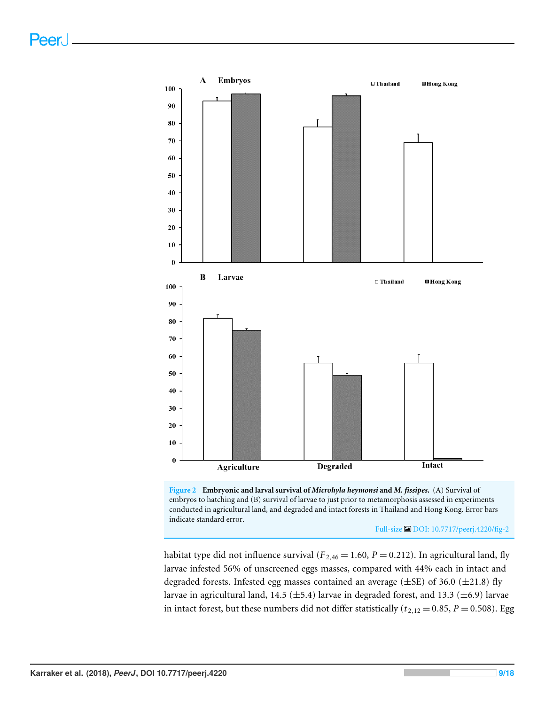<span id="page-9-0"></span>



Full-size [DOI: 10.7717/peerj.4220/fig-2](https://doi.org/10.7717/peerj.4220/fig-2)

habitat type did not influence survival ( $F_{2,46} = 1.60$ ,  $P = 0.212$ ). In agricultural land, fly larvae infested 56% of unscreened eggs masses, compared with 44% each in intact and degraded forests. Infested egg masses contained an average  $(\pm \text{SE})$  of 36.0  $(\pm 21.8)$  fly larvae in agricultural land, 14.5 ( $\pm$ 5.4) larvae in degraded forest, and 13.3 ( $\pm$ 6.9) larvae in intact forest, but these numbers did not differ statistically ( $t_{2,12} = 0.85$ ,  $P = 0.508$ ). Egg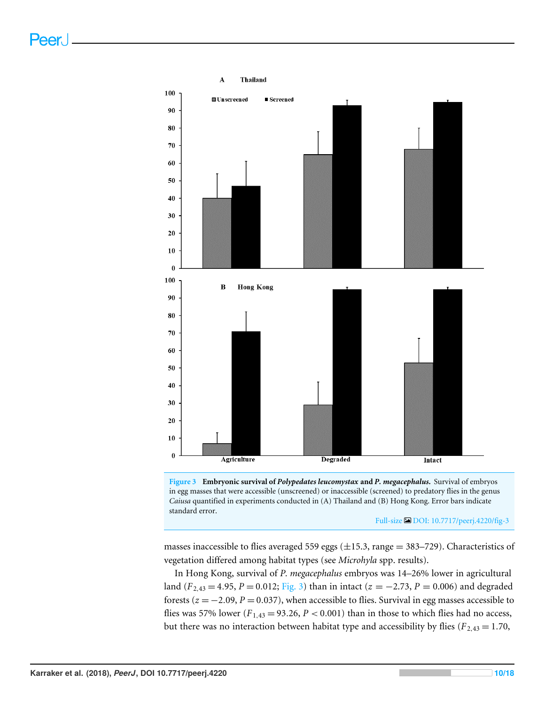<span id="page-10-0"></span>



Full-size [DOI: 10.7717/peerj.4220/fig-3](https://doi.org/10.7717/peerj.4220/fig-3)

masses inaccessible to flies averaged 559 eggs ( $\pm$ 15.3, range = 383–729). Characteristics of vegetation differed among habitat types (see *Microhyla* spp. results).

In Hong Kong, survival of *P. megacephalus* embryos was 14–26% lower in agricultural land ( $F_{2,43} = 4.95$ ,  $P = 0.012$ ; [Fig. 3\)](#page-10-0) than in intact ( $z = -2.73$ ,  $P = 0.006$ ) and degraded forests  $(z = -2.09, P = 0.037)$ , when accessible to flies. Survival in egg masses accessible to flies was 57% lower ( $F_{1,43} = 93.26$ ,  $P < 0.001$ ) than in those to which flies had no access, but there was no interaction between habitat type and accessibility by flies ( $F_{2,43} = 1.70$ ,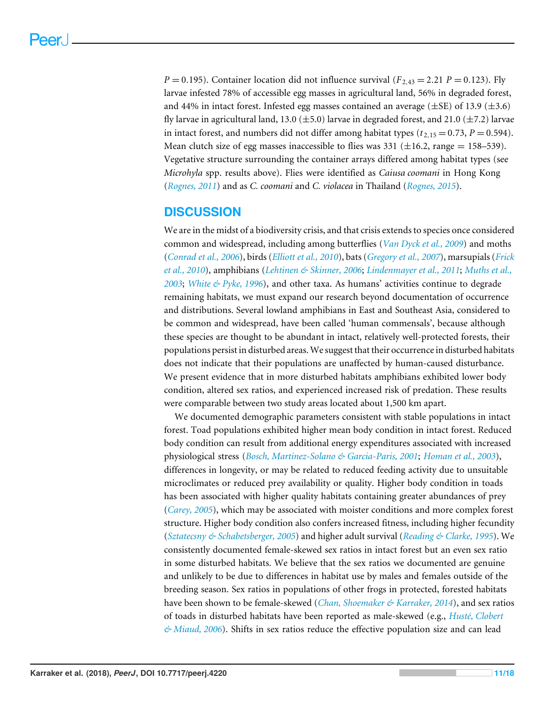$P = 0.195$ ). Container location did not influence survival ( $F_{2,43} = 2.21$   $P = 0.123$ ). Fly larvae infested 78% of accessible egg masses in agricultural land, 56% in degraded forest, and 44% in intact forest. Infested egg masses contained an average  $(\pm$ SE) of 13.9  $(\pm$ 3.6) fly larvae in agricultural land, 13.0 ( $\pm$ 5.0) larvae in degraded forest, and 21.0 ( $\pm$ 7.2) larvae in intact forest, and numbers did not differ among habitat types  $(t_{2,15} = 0.73, P = 0.594)$ . Mean clutch size of egg masses inaccessible to flies was 331 ( $\pm$ 16.2, range = 158–539). Vegetative structure surrounding the container arrays differed among habitat types (see *Microhyla* spp. results above). Flies were identified as *Caiusa coomani* in Hong Kong (*[Rognes, 2011](#page-17-5)*) and as *C. coomani* and *C. violacea* in Thailand (*[Rognes, 2015](#page-17-6)*).

## **DISCUSSION**

We are in the midst of a biodiversity crisis, and that crisis extends to species once considered common and widespread, including among butterflies (*[Van Dyck et al., 2009](#page-18-6)*) and moths (*[Conrad et al., 2006](#page-14-4)*), birds (*[Elliott et al., 2010](#page-14-5)*), bats (*[Gregory et al., 2007](#page-15-8)*), marsupials (*[Frick](#page-15-9) [et al., 2010](#page-15-9)*), amphibians (*[Lehtinen & Skinner, 2006](#page-17-7)*; *[Lindenmayer et al., 2011](#page-17-1)*; *[Muths et al.,](#page-17-8) [2003](#page-17-8)*; *[White & Pyke, 1996](#page-18-7)*), and other taxa. As humans' activities continue to degrade remaining habitats, we must expand our research beyond documentation of occurrence and distributions. Several lowland amphibians in East and Southeast Asia, considered to be common and widespread, have been called 'human commensals', because although these species are thought to be abundant in intact, relatively well-protected forests, their populations persist in disturbed areas.We suggest that their occurrence in disturbed habitats does not indicate that their populations are unaffected by human-caused disturbance. We present evidence that in more disturbed habitats amphibians exhibited lower body condition, altered sex ratios, and experienced increased risk of predation. These results were comparable between two study areas located about 1,500 km apart.

We documented demographic parameters consistent with stable populations in intact forest. Toad populations exhibited higher mean body condition in intact forest. Reduced body condition can result from additional energy expenditures associated with increased physiological stress (*[Bosch, Martinez-Solano & Garcia-Paris, 2001](#page-14-6)*; *[Homan et al., 2003](#page-15-10)*), differences in longevity, or may be related to reduced feeding activity due to unsuitable microclimates or reduced prey availability or quality. Higher body condition in toads has been associated with higher quality habitats containing greater abundances of prey (*[Carey, 2005](#page-14-7)*), which may be associated with moister conditions and more complex forest structure. Higher body condition also confers increased fitness, including higher fecundity (*[Sztatecsny & Schabetsberger, 2005](#page-18-8)*) and higher adult survival (*[Reading & Clarke, 1995](#page-17-9)*). We consistently documented female-skewed sex ratios in intact forest but an even sex ratio in some disturbed habitats. We believe that the sex ratios we documented are genuine and unlikely to be due to differences in habitat use by males and females outside of the breeding season. Sex ratios in populations of other frogs in protected, forested habitats have been shown to be female-skewed (*[Chan, Shoemaker & Karraker, 2014](#page-14-8)*), and sex ratios of toads in disturbed habitats have been reported as male-skewed (e.g., *[Husté, Clobert](#page-16-6) [& Miaud, 2006](#page-16-6)*). Shifts in sex ratios reduce the effective population size and can lead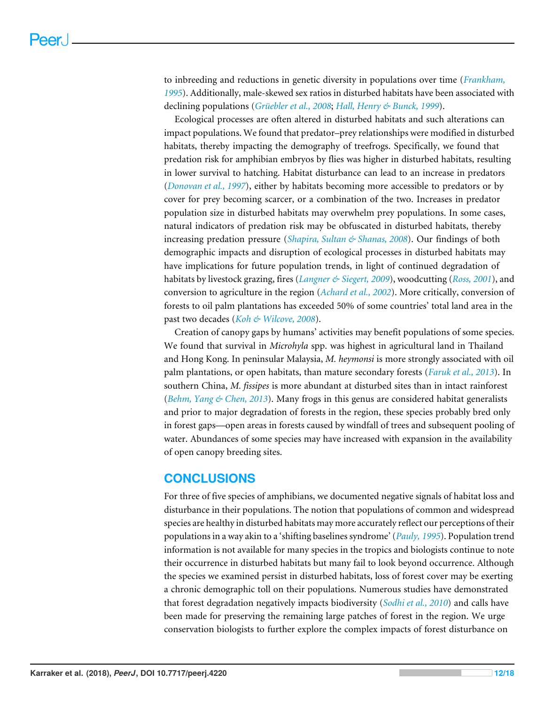to inbreeding and reductions in genetic diversity in populations over time (*[Frankham,](#page-15-11) [1995](#page-15-11)*). Additionally, male-skewed sex ratios in disturbed habitats have been associated with declining populations (*[Grüebler et al., 2008](#page-15-12)*; *[Hall, Henry & Bunck, 1999](#page-15-13)*).

Ecological processes are often altered in disturbed habitats and such alterations can impact populations. We found that predator–prey relationships were modified in disturbed habitats, thereby impacting the demography of treefrogs. Specifically, we found that predation risk for amphibian embryos by flies was higher in disturbed habitats, resulting in lower survival to hatching. Habitat disturbance can lead to an increase in predators (*[Donovan et al., 1997](#page-14-9)*), either by habitats becoming more accessible to predators or by cover for prey becoming scarcer, or a combination of the two. Increases in predator population size in disturbed habitats may overwhelm prey populations. In some cases, natural indicators of predation risk may be obfuscated in disturbed habitats, thereby increasing predation pressure (*[Shapira, Sultan & Shanas, 2008](#page-18-9)*). Our findings of both demographic impacts and disruption of ecological processes in disturbed habitats may have implications for future population trends, in light of continued degradation of habitats by livestock grazing, fires (*[Langner & Siegert, 2009](#page-16-7)*), woodcutting (*[Ross, 2001](#page-18-10)*), and conversion to agriculture in the region (*[Achard et al., 2002](#page-14-0)*). More critically, conversion of forests to oil palm plantations has exceeded 50% of some countries' total land area in the past two decades (*[Koh & Wilcove, 2008](#page-16-8)*).

Creation of canopy gaps by humans' activities may benefit populations of some species. We found that survival in *Microhyla* spp. was highest in agricultural land in Thailand and Hong Kong. In peninsular Malaysia, *M. heymonsi* is more strongly associated with oil palm plantations, or open habitats, than mature secondary forests (*[Faruk et al., 2013](#page-15-14)*). In southern China, *M. fissipes* is more abundant at disturbed sites than in intact rainforest (*[Behm, Yang & Chen, 2013](#page-14-10)*). Many frogs in this genus are considered habitat generalists and prior to major degradation of forests in the region, these species probably bred only in forest gaps—open areas in forests caused by windfall of trees and subsequent pooling of water. Abundances of some species may have increased with expansion in the availability of open canopy breeding sites.

## **CONCLUSIONS**

For three of five species of amphibians, we documented negative signals of habitat loss and disturbance in their populations. The notion that populations of common and widespread species are healthy in disturbed habitats may more accurately reflect our perceptions of their populations in a way akin to a 'shifting baselines syndrome' (*[Pauly, 1995](#page-17-10)*). Population trend information is not available for many species in the tropics and biologists continue to note their occurrence in disturbed habitats but many fail to look beyond occurrence. Although the species we examined persist in disturbed habitats, loss of forest cover may be exerting a chronic demographic toll on their populations. Numerous studies have demonstrated that forest degradation negatively impacts biodiversity (*[Sodhi et al., 2010](#page-18-11)*) and calls have been made for preserving the remaining large patches of forest in the region. We urge conservation biologists to further explore the complex impacts of forest disturbance on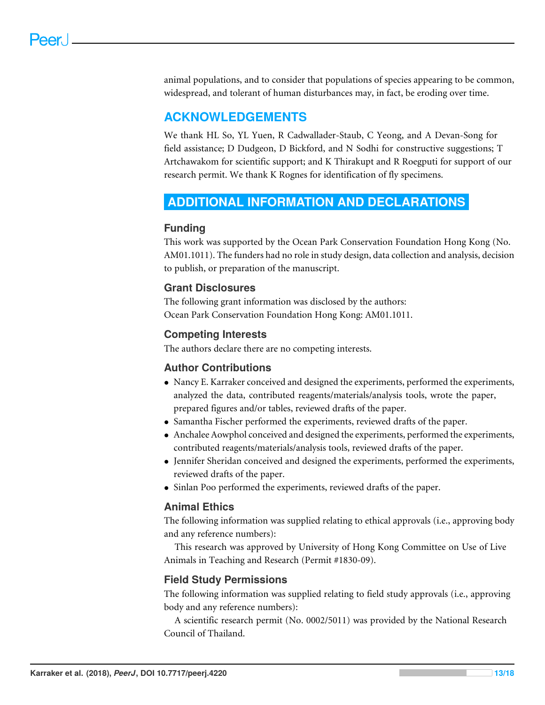animal populations, and to consider that populations of species appearing to be common, widespread, and tolerant of human disturbances may, in fact, be eroding over time.

## **ACKNOWLEDGEMENTS**

We thank HL So, YL Yuen, R Cadwallader-Staub, C Yeong, and A Devan-Song for field assistance; D Dudgeon, D Bickford, and N Sodhi for constructive suggestions; T Artchawakom for scientific support; and K Thirakupt and R Roegputi for support of our research permit. We thank K Rognes for identification of fly specimens.

## <span id="page-13-0"></span>**ADDITIONAL INFORMATION AND DECLARATIONS**

## **Funding**

This work was supported by the Ocean Park Conservation Foundation Hong Kong (No. AM01.1011). The funders had no role in study design, data collection and analysis, decision to publish, or preparation of the manuscript.

## **Grant Disclosures**

The following grant information was disclosed by the authors: Ocean Park Conservation Foundation Hong Kong: AM01.1011.

## **Competing Interests**

The authors declare there are no competing interests.

### **Author Contributions**

- [Nancy E. Karraker](#page-1-5) conceived and designed the experiments, performed the experiments, analyzed the data, contributed reagents/materials/analysis tools, wrote the paper, prepared figures and/or tables, reviewed drafts of the paper.
- [Samantha Fischer](#page-1-6) performed the experiments, reviewed drafts of the paper.
- [Anchalee Aowphol](#page-1-7) conceived and designed the experiments, performed the experiments, contributed reagents/materials/analysis tools, reviewed drafts of the paper.
- [Jennifer Sheridan](#page-1-8) conceived and designed the experiments, performed the experiments, reviewed drafts of the paper.
- [Sinlan Poo](#page-1-9) performed the experiments, reviewed drafts of the paper.

## **Animal Ethics**

The following information was supplied relating to ethical approvals (i.e., approving body and any reference numbers):

This research was approved by University of Hong Kong Committee on Use of Live Animals in Teaching and Research (Permit #1830-09).

## **Field Study Permissions**

The following information was supplied relating to field study approvals (i.e., approving body and any reference numbers):

A scientific research permit (No. 0002/5011) was provided by the National Research Council of Thailand.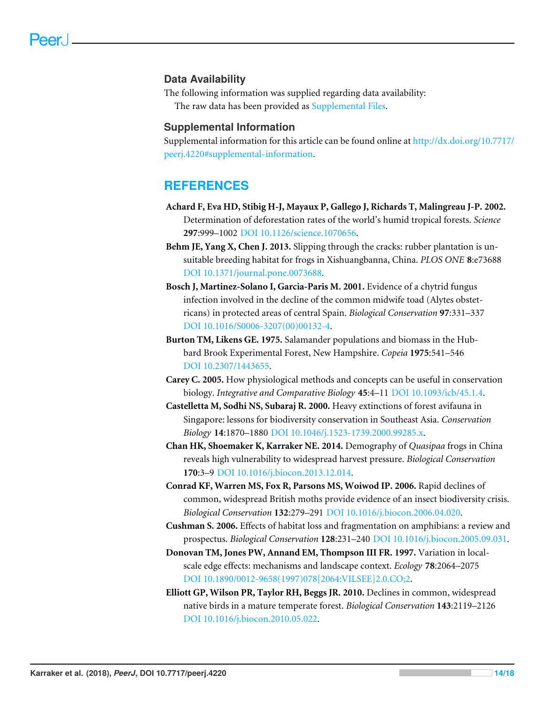#### **Data Availability**

The following information was supplied regarding data availability:

The raw data has been provided as [Supplemental Files.](http://dx.doi.org/10.7717/peerj.4220#supplemental-information)

#### **Supplemental Information**

Supplemental information for this article can be found online at [http://dx.doi.org/10.7717/](http://dx.doi.org/10.7717/peerj.4220#supplemental-information) [peerj.4220#supplemental-information.](http://dx.doi.org/10.7717/peerj.4220#supplemental-information)

## **REFERENCES**

- <span id="page-14-0"></span>**Achard F, Eva HD, Stibig H-J, Mayaux P, Gallego J, Richards T, Malingreau J-P. 2002.** Determination of deforestation rates of the world's humid tropical forests. *Science* **297**:999–1002 [DOI 10.1126/science.1070656.](http://dx.doi.org/10.1126/science.1070656)
- <span id="page-14-10"></span>**Behm JE, Yang X, Chen J. 2013.** Slipping through the cracks: rubber plantation is unsuitable breeding habitat for frogs in Xishuangbanna, China. *PLOS ONE* **8**:e73688 [DOI 10.1371/journal.pone.0073688.](http://dx.doi.org/10.1371/journal.pone.0073688)
- <span id="page-14-6"></span>**Bosch J, Martinez-Solano I, Garcia-Paris M. 2001.** Evidence of a chytrid fungus infection involved in the decline of the common midwife toad (Alytes obstetricans) in protected areas of central Spain. *Biological Conservation* **97**:331–337 [DOI 10.1016/S0006-3207\(00\)00132-4.](http://dx.doi.org/10.1016/S0006-3207(00)00132-4)
- <span id="page-14-3"></span>**Burton TM, Likens GE. 1975.** Salamander populations and biomass in the Hubbard Brook Experimental Forest, New Hampshire. *Copeia* **1975**:541–546 [DOI 10.2307/1443655.](http://dx.doi.org/10.2307/1443655)
- <span id="page-14-7"></span>**Carey C. 2005.** How physiological methods and concepts can be useful in conservation biology. *Integrative and Comparative Biology* **45**:4–11 [DOI 10.1093/icb/45.1.4.](http://dx.doi.org/10.1093/icb/45.1.4)
- <span id="page-14-1"></span>**Castelletta M, Sodhi NS, Subaraj R. 2000.** Heavy extinctions of forest avifauna in Singapore: lessons for biodiversity conservation in Southeast Asia. *Conservation Biology* **14**:1870–1880 [DOI 10.1046/j.1523-1739.2000.99285.x.](http://dx.doi.org/10.1046/j.1523-1739.2000.99285.x)
- <span id="page-14-8"></span>**Chan HK, Shoemaker K, Karraker NE. 2014.** Demography of *Quasipaa* frogs in China reveals high vulnerability to widespread harvest pressure. *Biological Conservation* **170**:3–9 [DOI 10.1016/j.biocon.2013.12.014.](http://dx.doi.org/10.1016/j.biocon.2013.12.014)
- <span id="page-14-4"></span>**Conrad KF, Warren MS, Fox R, Parsons MS, Woiwod IP. 2006.** Rapid declines of common, widespread British moths provide evidence of an insect biodiversity crisis. *Biological Conservation* **132**:279–291 [DOI 10.1016/j.biocon.2006.04.020.](http://dx.doi.org/10.1016/j.biocon.2006.04.020)
- <span id="page-14-2"></span>**Cushman S. 2006.** Effects of habitat loss and fragmentation on amphibians: a review and prospectus. *Biological Conservation* **128**:231–240 [DOI 10.1016/j.biocon.2005.09.031.](http://dx.doi.org/10.1016/j.biocon.2005.09.031)
- <span id="page-14-9"></span>**Donovan TM, Jones PW, Annand EM, Thompson III FR. 1997.** Variation in localscale edge effects: mechanisms and landscape context. *Ecology* **78**:2064–2075 [DOI 10.1890/0012-9658\(1997\)078\[2064:VILSEE\]2.0.CO;2.](http://dx.doi.org/10.1890/0012-9658(1997)078[2064:VILSEE]2.0.CO;2)
- <span id="page-14-5"></span>**Elliott GP, Wilson PR, Taylor RH, Beggs JR. 2010.** Declines in common, widespread native birds in a mature temperate forest. *Biological Conservation* **143**:2119–2126 [DOI 10.1016/j.biocon.2010.05.022.](http://dx.doi.org/10.1016/j.biocon.2010.05.022)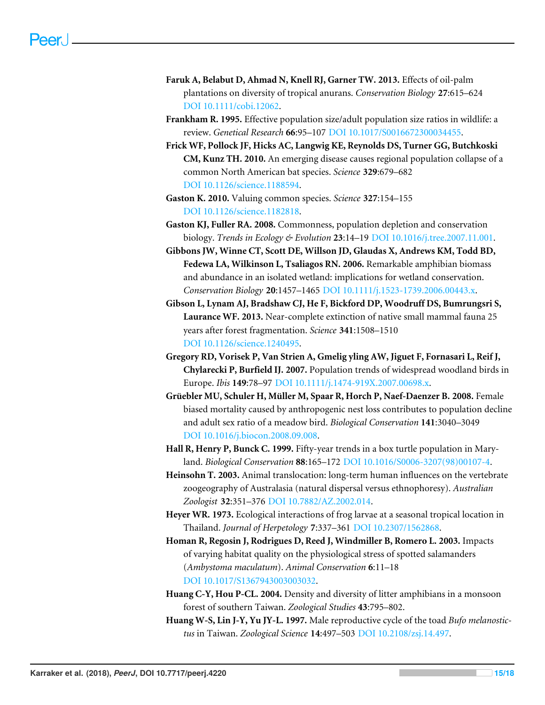- <span id="page-15-14"></span>**Faruk A, Belabut D, Ahmad N, Knell RJ, Garner TW. 2013.** Effects of oil-palm plantations on diversity of tropical anurans. *Conservation Biology* **27**:615–624 [DOI 10.1111/cobi.12062.](http://dx.doi.org/10.1111/cobi.12062)
- <span id="page-15-11"></span>**Frankham R. 1995.** Effective population size/adult population size ratios in wildlife: a review. *Genetical Research* **66**:95–107 [DOI 10.1017/S0016672300034455.](http://dx.doi.org/10.1017/S0016672300034455)
- <span id="page-15-9"></span>**Frick WF, Pollock JF, Hicks AC, Langwig KE, Reynolds DS, Turner GG, Butchkoski CM, Kunz TH. 2010.** An emerging disease causes regional population collapse of a common North American bat species. *Science* **329**:679–682 [DOI 10.1126/science.1188594.](http://dx.doi.org/10.1126/science.1188594)
- <span id="page-15-1"></span>**Gaston K. 2010.** Valuing common species. *Science* **327**:154–155 [DOI 10.1126/science.1182818.](http://dx.doi.org/10.1126/science.1182818)
- <span id="page-15-2"></span>**Gaston KJ, Fuller RA. 2008.** Commonness, population depletion and conservation biology. *Trends in Ecology & Evolution* **23**:14–19 [DOI 10.1016/j.tree.2007.11.001.](http://dx.doi.org/10.1016/j.tree.2007.11.001)
- <span id="page-15-3"></span>**Gibbons JW, Winne CT, Scott DE, Willson JD, Glaudas X, Andrews KM, Todd BD, Fedewa LA, Wilkinson L, Tsaliagos RN. 2006.** Remarkable amphibian biomass and abundance in an isolated wetland: implications for wetland conservation. *Conservation Biology* **20**:1457–1465 [DOI 10.1111/j.1523-1739.2006.00443.x.](http://dx.doi.org/10.1111/j.1523-1739.2006.00443.x)
- <span id="page-15-0"></span>**Gibson L, Lynam AJ, Bradshaw CJ, He F, Bickford DP, Woodruff DS, Bumrungsri S, Laurance WF. 2013.** Near-complete extinction of native small mammal fauna 25 years after forest fragmentation. *Science* **341**:1508–1510 [DOI 10.1126/science.1240495.](http://dx.doi.org/10.1126/science.1240495)
- <span id="page-15-8"></span>**Gregory RD, Vorisek P, Van Strien A, Gmelig yling AW, Jiguet F, Fornasari L, Reif J, Chylarecki P, Burfield IJ. 2007.** Population trends of widespread woodland birds in Europe. *Ibis* **149**:78–97 [DOI 10.1111/j.1474-919X.2007.00698.x.](http://dx.doi.org/10.1111/j.1474-919X.2007.00698.x)
- <span id="page-15-12"></span>**Grüebler MU, Schuler H, Müller M, Spaar R, Horch P, Naef-Daenzer B. 2008.** Female biased mortality caused by anthropogenic nest loss contributes to population decline and adult sex ratio of a meadow bird. *Biological Conservation* **141**:3040–3049 [DOI 10.1016/j.biocon.2008.09.008.](http://dx.doi.org/10.1016/j.biocon.2008.09.008)
- <span id="page-15-13"></span>**Hall R, Henry P, Bunck C. 1999.** Fifty-year trends in a box turtle population in Maryland. *Biological Conservation* **88**:165–172 [DOI 10.1016/S0006-3207\(98\)00107-4.](http://dx.doi.org/10.1016/S0006-3207(98)00107-4)
- <span id="page-15-5"></span>**Heinsohn T. 2003.** Animal translocation: long-term human influences on the vertebrate zoogeography of Australasia (natural dispersal versus ethnophoresy). *Australian Zoologist* **32**:351–376 [DOI 10.7882/AZ.2002.014.](http://dx.doi.org/10.7882/AZ.2002.014)
- <span id="page-15-6"></span>**Heyer WR. 1973.** Ecological interactions of frog larvae at a seasonal tropical location in Thailand. *Journal of Herpetology* **7**:337–361 [DOI 10.2307/1562868.](http://dx.doi.org/10.2307/1562868)
- <span id="page-15-10"></span>**Homan R, Regosin J, Rodrigues D, Reed J, Windmiller B, Romero L. 2003.** Impacts of varying habitat quality on the physiological stress of spotted salamanders (*Ambystoma maculatum*). *Animal Conservation* **6**:11–18 [DOI 10.1017/S1367943003003032.](http://dx.doi.org/10.1017/S1367943003003032)
- <span id="page-15-4"></span>**Huang C-Y, Hou P-CL. 2004.** Density and diversity of litter amphibians in a monsoon forest of southern Taiwan. *Zoological Studies* **43**:795–802.
- <span id="page-15-7"></span>**Huang W-S, Lin J-Y, Yu JY-L. 1997.** Male reproductive cycle of the toad *Bufo melanostictus* in Taiwan. *Zoological Science* **14**:497–503 [DOI 10.2108/zsj.14.497.](http://dx.doi.org/10.2108/zsj.14.497)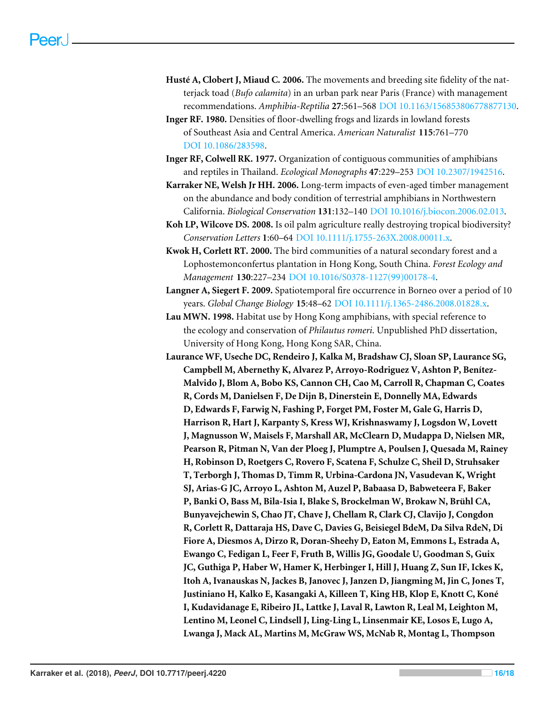- <span id="page-16-6"></span>**Husté A, Clobert J, Miaud C. 2006.** The movements and breeding site fidelity of the natterjack toad (*Bufo calamita*) in an urban park near Paris (France) with management recommendations. *Amphibia-Reptilia* **27**:561–568 [DOI 10.1163/156853806778877130.](http://dx.doi.org/10.1163/156853806778877130)
- <span id="page-16-2"></span>**Inger RF. 1980.** Densities of floor-dwelling frogs and lizards in lowland forests of Southeast Asia and Central America. *American Naturalist* **115**:761–770 [DOI 10.1086/283598.](http://dx.doi.org/10.1086/283598)
- <span id="page-16-3"></span>**Inger RF, Colwell RK. 1977.** Organization of contiguous communities of amphibians and reptiles in Thailand. *Ecological Monographs* **47**:229–253 [DOI 10.2307/1942516.](http://dx.doi.org/10.2307/1942516)
- <span id="page-16-1"></span>**Karraker NE, Welsh Jr HH. 2006.** Long-term impacts of even-aged timber management on the abundance and body condition of terrestrial amphibians in Northwestern California. *Biological Conservation* **131**:132–140 [DOI 10.1016/j.biocon.2006.02.013.](http://dx.doi.org/10.1016/j.biocon.2006.02.013)
- <span id="page-16-8"></span>**Koh LP, Wilcove DS. 2008.** Is oil palm agriculture really destroying tropical biodiversity? *Conservation Letters* **1**:60–64 [DOI 10.1111/j.1755-263X.2008.00011.x.](http://dx.doi.org/10.1111/j.1755-263X.2008.00011.x)
- <span id="page-16-4"></span>**Kwok H, Corlett RT. 2000.** The bird communities of a natural secondary forest and a Lophostemonconfertus plantation in Hong Kong, South China. *Forest Ecology and Management* **130**:227–234 [DOI 10.1016/S0378-1127\(99\)00178-4.](http://dx.doi.org/10.1016/S0378-1127(99)00178-4)
- <span id="page-16-7"></span>**Langner A, Siegert F. 2009.** Spatiotemporal fire occurrence in Borneo over a period of 10 years. *Global Change Biology* **15**:48–62 [DOI 10.1111/j.1365-2486.2008.01828.x.](http://dx.doi.org/10.1111/j.1365-2486.2008.01828.x)
- <span id="page-16-5"></span>**Lau MWN. 1998.** Habitat use by Hong Kong amphibians, with special reference to the ecology and conservation of *Philautus romeri*. Unpublished PhD dissertation, University of Hong Kong, Hong Kong SAR, China.
- <span id="page-16-0"></span>**Laurance WF, Useche DC, Rendeiro J, Kalka M, Bradshaw CJ, Sloan SP, Laurance SG, Campbell M, Abernethy K, Alvarez P, Arroyo-Rodriguez V, Ashton P, Benítez-Malvido J, Blom A, Bobo KS, Cannon CH, Cao M, Carroll R, Chapman C, Coates R, Cords M, Danielsen F, De Dijn B, Dinerstein E, Donnelly MA, Edwards D, Edwards F, Farwig N, Fashing P, Forget PM, Foster M, Gale G, Harris D, Harrison R, Hart J, Karpanty S, Kress WJ, Krishnaswamy J, Logsdon W, Lovett J, Magnusson W, Maisels F, Marshall AR, McClearn D, Mudappa D, Nielsen MR, Pearson R, Pitman N, Van der Ploeg J, Plumptre A, Poulsen J, Quesada M, Rainey H, Robinson D, Roetgers C, Rovero F, Scatena F, Schulze C, Sheil D, Struhsaker T, Terborgh J, Thomas D, Timm R, Urbina-Cardona JN, Vasudevan K, Wright SJ, Arias-G JC, Arroyo L, Ashton M, Auzel P, Babaasa D, Babweteera F, Baker P, Banki O, Bass M, Bila-Isia I, Blake S, Brockelman W, Brokaw N, Brühl CA, Bunyavejchewin S, Chao JT, Chave J, Chellam R, Clark CJ, Clavijo J, Congdon R, Corlett R, Dattaraja HS, Dave C, Davies G, Beisiegel BdeM, Da Silva RdeN, Di Fiore A, Diesmos A, Dirzo R, Doran-Sheehy D, Eaton M, Emmons L, Estrada A, Ewango C, Fedigan L, Feer F, Fruth B, Willis JG, Goodale U, Goodman S, Guix JC, Guthiga P, Haber W, Hamer K, Herbinger I, Hill J, Huang Z, Sun IF, Ickes K, Itoh A, Ivanauskas N, Jackes B, Janovec J, Janzen D, Jiangming M, Jin C, Jones T, Justiniano H, Kalko E, Kasangaki A, Killeen T, King HB, Klop E, Knott C, Koné I, Kudavidanage E, Ribeiro JL, Lattke J, Laval R, Lawton R, Leal M, Leighton M, Lentino M, Leonel C, Lindsell J, Ling-Ling L, Linsenmair KE, Losos E, Lugo A, Lwanga J, Mack AL, Martins M, McGraw WS, McNab R, Montag L, Thompson**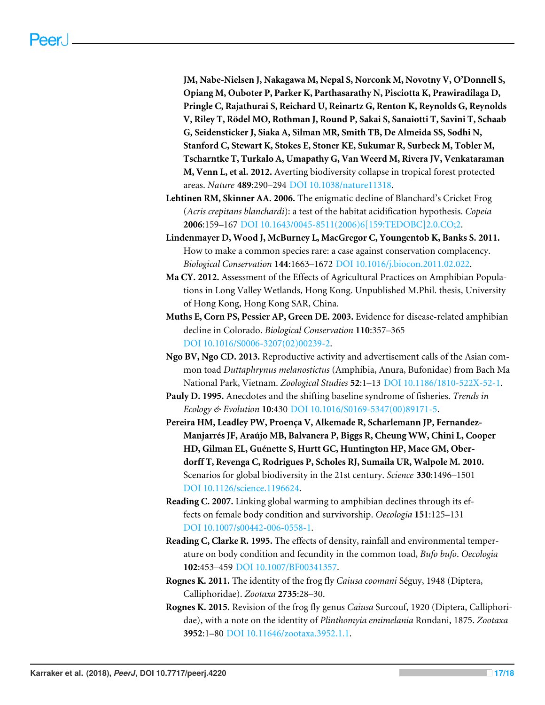**JM, Nabe-Nielsen J, Nakagawa M, Nepal S, Norconk M, Novotny V, O'Donnell S, Opiang M, Ouboter P, Parker K, Parthasarathy N, Pisciotta K, Prawiradilaga D, Pringle C, Rajathurai S, Reichard U, Reinartz G, Renton K, Reynolds G, Reynolds V, Riley T, Rödel MO, Rothman J, Round P, Sakai S, Sanaiotti T, Savini T, Schaab G, Seidensticker J, Siaka A, Silman MR, Smith TB, De Almeida SS, Sodhi N, Stanford C, Stewart K, Stokes E, Stoner KE, Sukumar R, Surbeck M, Tobler M, Tscharntke T, Turkalo A, Umapathy G, Van Weerd M, Rivera JV, Venkataraman M, Venn L, et al. 2012.** Averting biodiversity collapse in tropical forest protected areas. *Nature* **489**:290–294 [DOI 10.1038/nature11318.](http://dx.doi.org/10.1038/nature11318)

- <span id="page-17-7"></span>**Lehtinen RM, Skinner AA. 2006.** The enigmatic decline of Blanchard's Cricket Frog (*Acris crepitans blanchardi*): a test of the habitat acidification hypothesis. *Copeia* **2006**:159–167 [DOI 10.1643/0045-8511\(2006\)6\[159:TEDOBC\]2.0.CO;2.](http://dx.doi.org/10.1643/0045-8511(2006)6[159:TEDOBC]2.0.CO;2)
- <span id="page-17-1"></span>**Lindenmayer D, Wood J, McBurney L, MacGregor C, Youngentob K, Banks S. 2011.** How to make a common species rare: a case against conservation complacency. *Biological Conservation* **144**:1663–1672 [DOI 10.1016/j.biocon.2011.02.022.](http://dx.doi.org/10.1016/j.biocon.2011.02.022)
- <span id="page-17-4"></span>**Ma CY. 2012.** Assessment of the Effects of Agricultural Practices on Amphibian Populations in Long Valley Wetlands, Hong Kong. Unpublished M.Phil. thesis, University of Hong Kong, Hong Kong SAR, China.
- <span id="page-17-8"></span>**Muths E, Corn PS, Pessier AP, Green DE. 2003.** Evidence for disease-related amphibian decline in Colorado. *Biological Conservation* **110**:357–365 [DOI 10.1016/S0006-3207\(02\)00239-2.](http://dx.doi.org/10.1016/S0006-3207(02)00239-2)
- <span id="page-17-2"></span>**Ngo BV, Ngo CD. 2013.** Reproductive activity and advertisement calls of the Asian common toad *Duttaphrynus melanostictus* (Amphibia, Anura, Bufonidae) from Bach Ma National Park, Vietnam. *Zoological Studies* **52**:1–13 [DOI 10.1186/1810-522X-52-1.](http://dx.doi.org/10.1186/1810-522X-52-1)
- <span id="page-17-10"></span>**Pauly D. 1995.** Anecdotes and the shifting baseline syndrome of fisheries. *Trends in Ecology & Evolution* **10**:430 [DOI 10.1016/S0169-5347\(00\)89171-5.](http://dx.doi.org/10.1016/S0169-5347(00)89171-5)
- <span id="page-17-0"></span>**Pereira HM, Leadley PW, Proenca V, Alkemade R, Scharlemann JP, Fernandez- ¸ Manjarrés JF, Araújo MB, Balvanera P, Biggs R, Cheung WW, Chini L, Cooper HD, Gilman EL, Guénette S, Hurtt GC, Huntington HP, Mace GM, Oberdorff T, Revenga C, Rodrigues P, Scholes RJ, Sumaila UR, Walpole M. 2010.** Scenarios for global biodiversity in the 21st century. *Science* **330**:1496–1501 [DOI 10.1126/science.1196624.](http://dx.doi.org/10.1126/science.1196624)
- <span id="page-17-3"></span>**Reading C. 2007.** Linking global warming to amphibian declines through its effects on female body condition and survivorship. *Oecologia* **151**:125–131 [DOI 10.1007/s00442-006-0558-1.](http://dx.doi.org/10.1007/s00442-006-0558-1)
- <span id="page-17-9"></span>**Reading C, Clarke R. 1995.** The effects of density, rainfall and environmental temperature on body condition and fecundity in the common toad, *Bufo bufo*. *Oecologia* **102**:453–459 [DOI 10.1007/BF00341357.](http://dx.doi.org/10.1007/BF00341357)
- <span id="page-17-5"></span>**Rognes K. 2011.** The identity of the frog fly *Caiusa coomani* Séguy, 1948 (Diptera, Calliphoridae). *Zootaxa* **2735**:28–30.
- <span id="page-17-6"></span>**Rognes K. 2015.** Revision of the frog fly genus *Caiusa* Surcouf, 1920 (Diptera, Calliphoridae), with a note on the identity of *Plinthomyia emimelania* Rondani, 1875. *Zootaxa* **3952**:1–80 [DOI 10.11646/zootaxa.3952.1.1.](http://dx.doi.org/10.11646/zootaxa.3952.1.1)